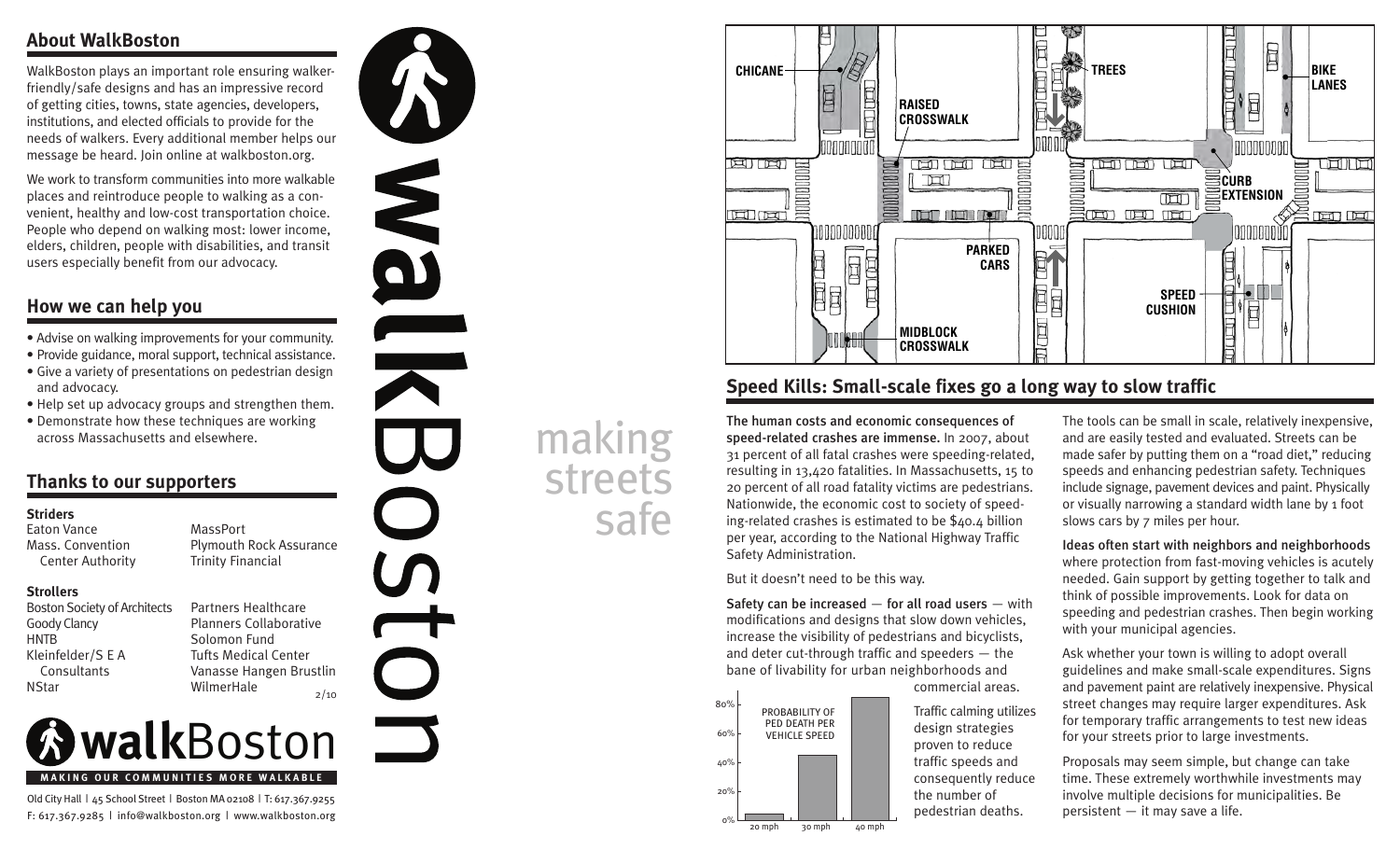### **About WalkBoston**

WalkBoston plays an important role ensuring walkerfriendly/safe designs and has an impressive record of getting cities, towns, state agencies, developers, institutions, and elected officials to provide for the needs of walkers. Every additional member helps our message be heard. Join online at walkboston.org.

We work to transform communities into more walkable places and reintroduce people to walking as a convenient, healthy and low-cost transportation choice. People who depend on walking most: lower income, elders, children, people with disabilities, and transit users especially benefit from our advocacy.

# **How we can help you**

- Advise on walking improvements for your community.
- Provide guidance, moral support, technical assistance.
- Give a variety of presentations on pedestrian design and advocacy.
- Help set up advocacy groups and strengthen them.
- Demonstrate how these techniques are working across Massachusetts and elsewhere.

# **Thanks to our supporters**

### **Striders**

Eaton Vance Mass. Convention Center Authority

#### **Strollers**

Boston Society of Architects Goody Clancy HNTB Kleinfelder/S E A **Consultants NStar** 

Partners Healthcare Planners Collaborative Solomon Fund Tufts Medical Center Vanasse Hangen Brustlin

Plymouth Rock Assurance

 $2/10$ 



WilmerHale

MassPort

Trinity Financial

Old City Hall | 45 School Street | Boston MA 02108 | T: 617.367.9255 F: 617.367.9285 | info@walkboston.org | www.walkboston.org



making streets safe



# **Speed Kills: Small-scale fixes go a long way to slow traffic**

Traffic calming utilizes design strategies proven to reduce traffic speeds and consequently reduce the number of pedestrian deaths.

The human costs and economic consequences of speed-related crashes are immense. In 2007, about 31 percent of all fatal crashes were speeding-related, resulting in 13,420 fatalities. In Massachusetts, 15 to 20 percent of all road fatality victims are pedestrians. Nationwide, the economic cost to society of speeding-related crashes is estimated to be \$40.4 billion per year, according to the National Highway Traffic Safety Administration.

But it doesn't need to be this way.

Safety can be increased  $-$  for all road users  $-$  with modifications and designs that slow down vehicles, increase the visibility of pedestrians and bicyclists, and deter cut-through traffic and speeders — the bane of livability for urban neighborhoods and commercial areas.



The tools can be small in scale, relatively inexpensive, and are easily tested and evaluated. Streets can be made safer by putting them on a "road diet," reducing speeds and enhancing pedestrian safety. Techniques include signage, pavement devices and paint. Physically or visually narrowing a standard width lane by 1 foot slows cars by 7 miles per hour.

Ideas often start with neighbors and neighborhoods where protection from fast-moving vehicles is acutely needed. Gain support by getting together to talk and think of possible improvements. Look for data on speeding and pedestrian crashes. Then begin working with your municipal agencies.

Ask whether your town is willing to adopt overall guidelines and make small-scale expenditures. Signs and pavement paint are relatively inexpensive. Physical street changes may require larger expenditures. Ask for temporary traffic arrangements to test new ideas for your streets prior to large investments.

Proposals may seem simple, but change can take time. These extremely worthwhile investments may involve multiple decisions for municipalities. Be  $p$ ersistent  $-$  it may save a life.